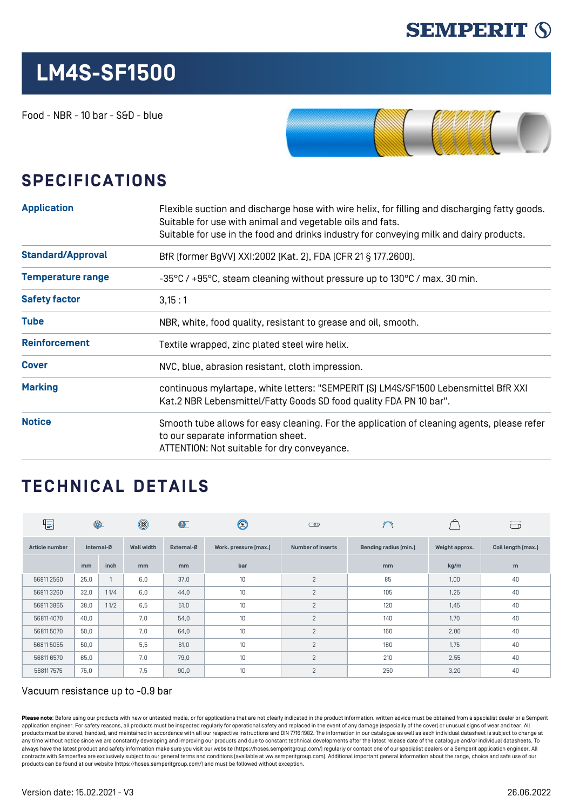

## **LM4S-SF1500**

Food - NBR - 10 bar - S&D - blue



## **SPECIFICATIONS**

| <b>Application</b>       | Flexible suction and discharge hose with wire helix, for filling and discharging fatty goods.<br>Suitable for use with animal and vegetable oils and fats.<br>Suitable for use in the food and drinks industry for conveying milk and dairy products. |  |  |  |
|--------------------------|-------------------------------------------------------------------------------------------------------------------------------------------------------------------------------------------------------------------------------------------------------|--|--|--|
| <b>Standard/Approval</b> | BfR [former BgVV] XXI:2002 [Kat. 2], FDA [CFR 21 § 177.2600].                                                                                                                                                                                         |  |  |  |
| <b>Temperature range</b> | -35°C / +95°C, steam cleaning without pressure up to 130°C / max. 30 min.                                                                                                                                                                             |  |  |  |
| <b>Safety factor</b>     | 3,15:1                                                                                                                                                                                                                                                |  |  |  |
| <b>Tube</b>              | NBR, white, food quality, resistant to grease and oil, smooth.                                                                                                                                                                                        |  |  |  |
| <b>Reinforcement</b>     | Textile wrapped, zinc plated steel wire helix.                                                                                                                                                                                                        |  |  |  |
| <b>Cover</b>             | NVC, blue, abrasion resistant, cloth impression.                                                                                                                                                                                                      |  |  |  |
| <b>Marking</b>           | continuous mylartape, white letters: "SEMPERIT [S] LM4S/SF1500 Lebensmittel BfR XXI<br>Kat.2 NBR Lebensmittel/Fatty Goods SD food quality FDA PN 10 bar".                                                                                             |  |  |  |
| <b>Notice</b>            | Smooth tube allows for easy cleaning. For the application of cleaning agents, please refer<br>to our separate information sheet.<br>ATTENTION: Not suitable for dry conveyance.                                                                       |  |  |  |

## **TECHNICAL DETAILS**

| E              | $\circledcirc$ |              | $^{\circledR}$    | $\circledcirc$ | $\circledS$           | $\bigcirc$               | $\bigcap$             |                | ా                  |
|----------------|----------------|--------------|-------------------|----------------|-----------------------|--------------------------|-----------------------|----------------|--------------------|
| Article number | Internal-Ø     |              | <b>Wall width</b> | External-Ø     | Work. pressure [max.] | <b>Number of inserts</b> | Bending radius [min.] | Weight approx. | Coil length [max.] |
|                | mm             | inch         | m <sub>m</sub>    | m <sub>m</sub> | bar                   |                          | mm                    | kg/m           | m                  |
| 568112560      | 25,0           | $\mathbf{1}$ | 6.0               | 37,0           | 10 <sup>1</sup>       | 2                        | 85                    | 1,00           | 40                 |
| 568113260      | 32,0           | 11/4         | 6,0               | 44,0           | 10                    | $\overline{2}$           | 105                   | 1,25           | 40                 |
| 568113865      | 38,0           | 11/2         | 6,5               | 51,0           | 10                    | $\overline{2}$           | 120                   | 1,45           | 40                 |
| 568114070      | 40,0           |              | 7,0               | 54,0           | 10                    | $\overline{2}$           | 140                   | 1,70           | 40                 |
| 568115070      | 50,0           |              | 7.0               | 64,0           | 10                    | $\overline{2}$           | 160                   | 2,00           | 40                 |
| 568115055      | 50,0           |              | 5,5               | 61,0           | 10                    | 2                        | 160                   | 1,75           | 40                 |
| 56811 6570     | 65,0           |              | 7,0               | 79,0           | 10                    | 2                        | 210                   | 2,55           | 40                 |
| 568117575      | 75,0           |              | 7,5               | 90,0           | 10                    | 2                        | 250                   | 3,20           | 40                 |

## Vacuum resistance up to -0.9 bar

Please note: Before using our products with new or untested media, or for applications that are not clearly indicated in the product information, written advice must be obtained from a specialist dealer or a Semperit application engineer. For safety reasons, all products must be inspected regularly for operational safety and replaced in the event of any damage (especially of the cover) or unusual signs of wear and tear. All products must be stored, handled, and maintained in accordance with all our respective instructions and DIN 7716:1982. The information in our catalogue as well as each individual datasheet is subject to change at any time without notice since we are constantly developing and improving our products and due to constant technical developments after the latest release date of the catalogue and/or individual datasheets. To always have the latest product and safety information make sure you visit our website ([https://hoses.semperitgroup.com/\)](https://hoses.semperitgroup.com/) regularly or contact one of our specialist dealers or a Semperit application engineer. All contracts with Semperflex are exclusively subject to our general terms and conditions (available at ww.semperitgroup.com). Additional important general information about the range, choice and safe use of our products can be found at our website (<https://hoses.semperitgroup.com/>) and must be followed without exception.